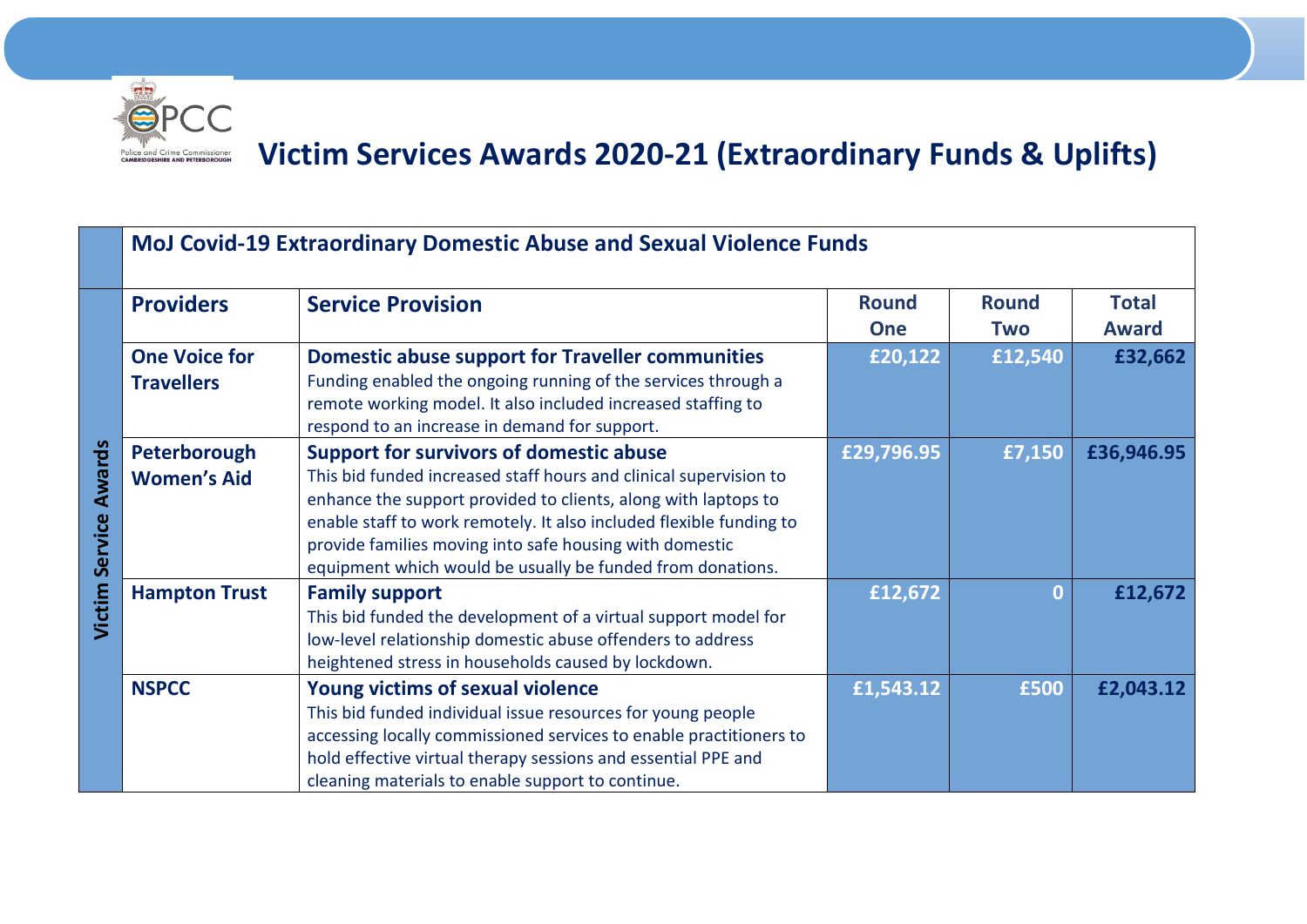

## **Victim Services Awards 2020-21 (Extraordinary Funds & Uplifts)**

|                              | MoJ Covid-19 Extraordinary Domestic Abuse and Sexual Violence Funds |                                                                                                                                                                                                                                                                                                                                                                                       |                       |                       |                         |  |  |
|------------------------------|---------------------------------------------------------------------|---------------------------------------------------------------------------------------------------------------------------------------------------------------------------------------------------------------------------------------------------------------------------------------------------------------------------------------------------------------------------------------|-----------------------|-----------------------|-------------------------|--|--|
|                              | <b>Providers</b>                                                    | <b>Service Provision</b>                                                                                                                                                                                                                                                                                                                                                              | <b>Round</b>          | <b>Round</b>          | <b>Total</b>            |  |  |
| <b>Victim Service Awards</b> | <b>One Voice for</b><br><b>Travellers</b>                           | <b>Domestic abuse support for Traveller communities</b><br>Funding enabled the ongoing running of the services through a<br>remote working model. It also included increased staffing to<br>respond to an increase in demand for support.                                                                                                                                             | <b>One</b><br>£20,122 | <b>Two</b><br>£12,540 | <b>Award</b><br>£32,662 |  |  |
|                              | Peterborough<br><b>Women's Aid</b>                                  | <b>Support for survivors of domestic abuse</b><br>This bid funded increased staff hours and clinical supervision to<br>enhance the support provided to clients, along with laptops to<br>enable staff to work remotely. It also included flexible funding to<br>provide families moving into safe housing with domestic<br>equipment which would be usually be funded from donations. | £29,796.95            | £7,150                | £36,946.95              |  |  |
|                              | <b>Hampton Trust</b>                                                | <b>Family support</b><br>This bid funded the development of a virtual support model for<br>low-level relationship domestic abuse offenders to address<br>heightened stress in households caused by lockdown.                                                                                                                                                                          | £12,672               | $\mathbf{0}$          | £12,672                 |  |  |
|                              | <b>NSPCC</b>                                                        | <b>Young victims of sexual violence</b><br>This bid funded individual issue resources for young people<br>accessing locally commissioned services to enable practitioners to<br>hold effective virtual therapy sessions and essential PPE and<br>cleaning materials to enable support to continue.                                                                                    | £1,543.12             | £500                  | £2,043.12               |  |  |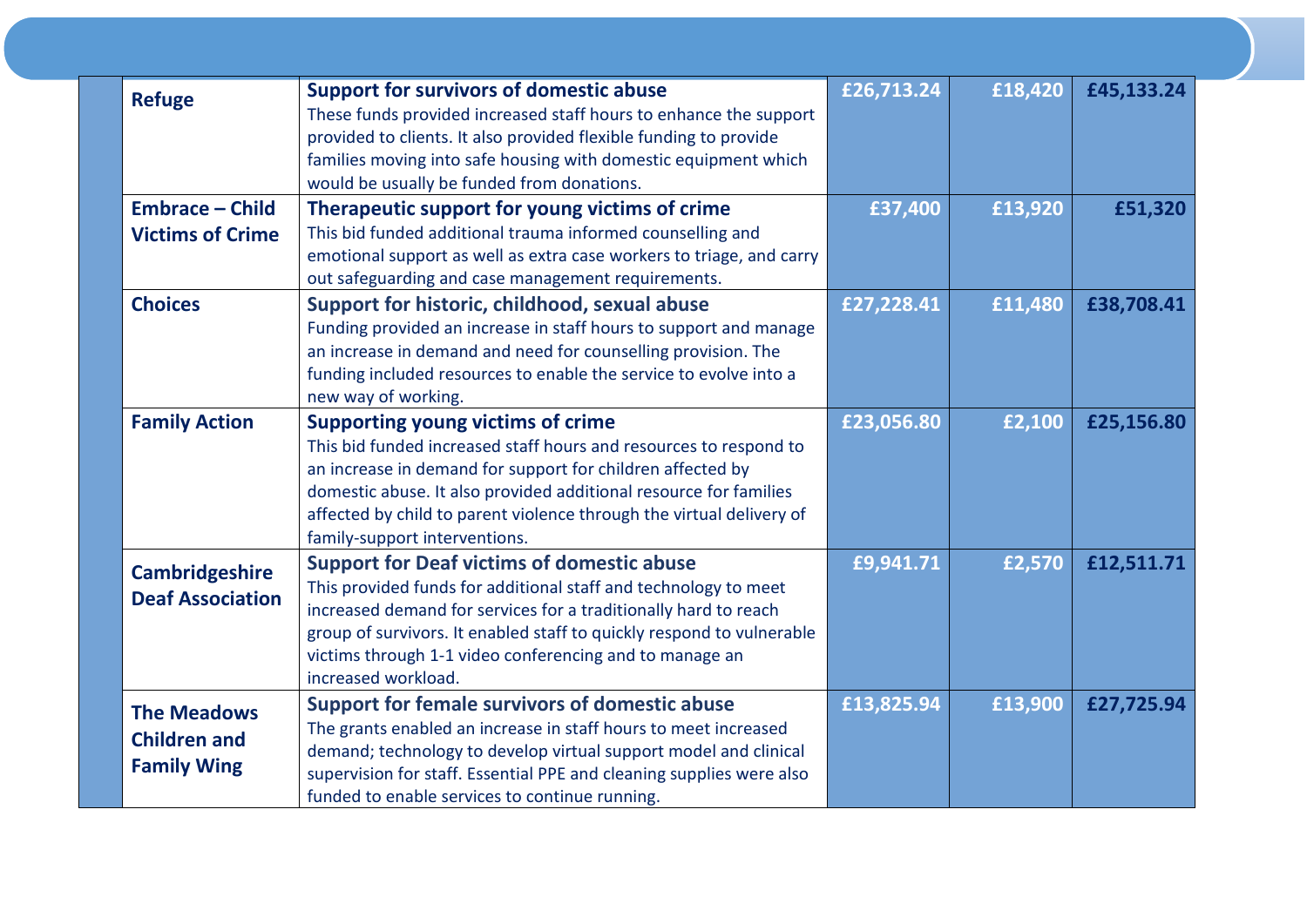|  | <b>Refuge</b>                             | <b>Support for survivors of domestic abuse</b>                        | £26,713.24 | £18,420 | £45,133.24 |
|--|-------------------------------------------|-----------------------------------------------------------------------|------------|---------|------------|
|  |                                           | These funds provided increased staff hours to enhance the support     |            |         |            |
|  |                                           | provided to clients. It also provided flexible funding to provide     |            |         |            |
|  |                                           | families moving into safe housing with domestic equipment which       |            |         |            |
|  |                                           | would be usually be funded from donations.                            |            |         |            |
|  | <b>Embrace - Child</b>                    | Therapeutic support for young victims of crime                        | £37,400    | £13,920 | £51,320    |
|  | <b>Victims of Crime</b>                   | This bid funded additional trauma informed counselling and            |            |         |            |
|  |                                           | emotional support as well as extra case workers to triage, and carry  |            |         |            |
|  |                                           | out safeguarding and case management requirements.                    |            |         |            |
|  | <b>Choices</b>                            | Support for historic, childhood, sexual abuse                         | £27,228.41 | £11,480 | £38,708.41 |
|  |                                           | Funding provided an increase in staff hours to support and manage     |            |         |            |
|  |                                           | an increase in demand and need for counselling provision. The         |            |         |            |
|  |                                           | funding included resources to enable the service to evolve into a     |            |         |            |
|  |                                           | new way of working.                                                   |            |         |            |
|  | <b>Family Action</b>                      | <b>Supporting young victims of crime</b>                              | £23,056.80 | £2,100  | £25,156.80 |
|  |                                           | This bid funded increased staff hours and resources to respond to     |            |         |            |
|  |                                           | an increase in demand for support for children affected by            |            |         |            |
|  |                                           | domestic abuse. It also provided additional resource for families     |            |         |            |
|  |                                           | affected by child to parent violence through the virtual delivery of  |            |         |            |
|  |                                           | family-support interventions.                                         |            |         |            |
|  | <b>Cambridgeshire</b>                     | <b>Support for Deaf victims of domestic abuse</b>                     | £9,941.71  | £2,570  | £12,511.71 |
|  |                                           | This provided funds for additional staff and technology to meet       |            |         |            |
|  | <b>Deaf Association</b>                   | increased demand for services for a traditionally hard to reach       |            |         |            |
|  |                                           | group of survivors. It enabled staff to quickly respond to vulnerable |            |         |            |
|  |                                           | victims through 1-1 video conferencing and to manage an               |            |         |            |
|  |                                           | increased workload.                                                   |            |         |            |
|  | <b>The Meadows</b>                        | <b>Support for female survivors of domestic abuse</b>                 | £13,825.94 | £13,900 | £27,725.94 |
|  | <b>Children and</b><br><b>Family Wing</b> | The grants enabled an increase in staff hours to meet increased       |            |         |            |
|  |                                           | demand; technology to develop virtual support model and clinical      |            |         |            |
|  |                                           | supervision for staff. Essential PPE and cleaning supplies were also  |            |         |            |
|  |                                           | funded to enable services to continue running.                        |            |         |            |